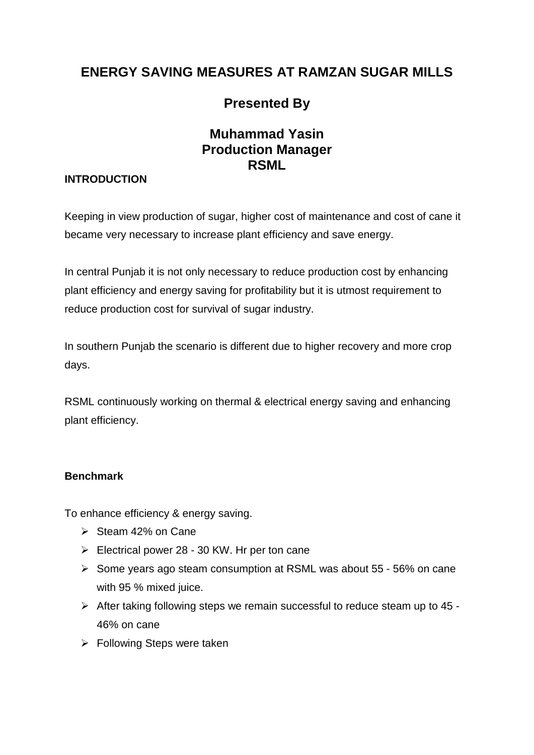# **ENERGY SAVING MEASURES AT RAMZAN SUGAR MILLS**

# **Presented By**

## **Muhammad Yasin Production Manager RSML**

## **INTRODUCTION**

Keeping in view production of sugar, higher cost of maintenance and cost of cane it became very necessary to increase plant efficiency and save energy.

In central Punjab it is not only necessary to reduce production cost by enhancing plant efficiency and energy saving for profitability but it is utmost requirement to reduce production cost for survival of sugar industry.

In southern Punjab the scenario is different due to higher recovery and more crop days.

RSML continuously working on thermal & electrical energy saving and enhancing plant efficiency.

#### **Benchmark**

To enhance efficiency & energy saving.

- $\triangleright$  Steam 42% on Cane
- $\triangleright$  Electrical power 28 30 KW. Hr per ton cane
- $\triangleright$  Some years ago steam consumption at RSML was about 55 56% on cane with 95 % mixed juice.
- $\triangleright$  After taking following steps we remain successful to reduce steam up to 45 -46% on cane
- $\triangleright$  Following Steps were taken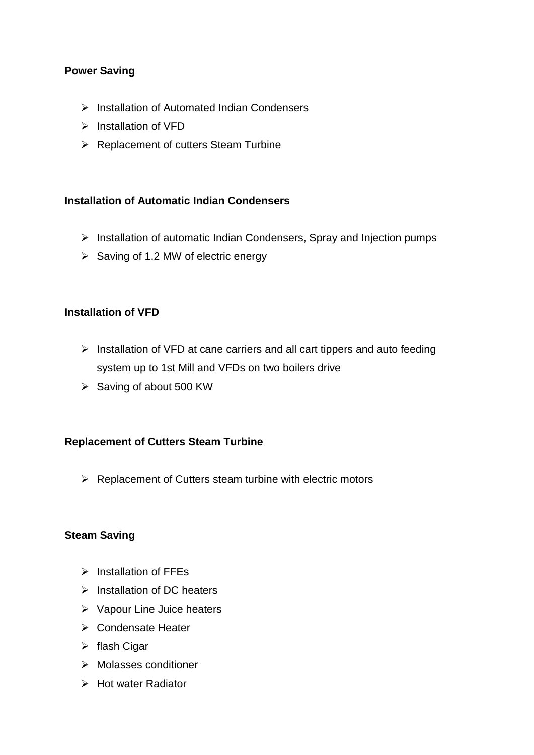### **Power Saving**

- $\triangleright$  Installation of Automated Indian Condensers
- $\triangleright$  Installation of VFD
- $\triangleright$  Replacement of cutters Steam Turbine

#### **Installation of Automatic Indian Condensers**

- $\triangleright$  Installation of automatic Indian Condensers, Spray and Injection pumps
- $\triangleright$  Saving of 1.2 MW of electric energy

## **Installation of VFD**

- $\triangleright$  Installation of VFD at cane carriers and all cart tippers and auto feeding system up to 1st Mill and VFDs on two boilers drive
- $\triangleright$  Saving of about 500 KW

#### **Replacement of Cutters Steam Turbine**

 $\triangleright$  Replacement of Cutters steam turbine with electric motors

#### **Steam Saving**

- $\triangleright$  Installation of FFEs
- $\triangleright$  Installation of DC heaters
- $\triangleright$  Vapour Line Juice heaters
- **► Condensate Heater**
- $\triangleright$  flash Cigar
- $\triangleright$  Molasses conditioner
- Hot water Radiator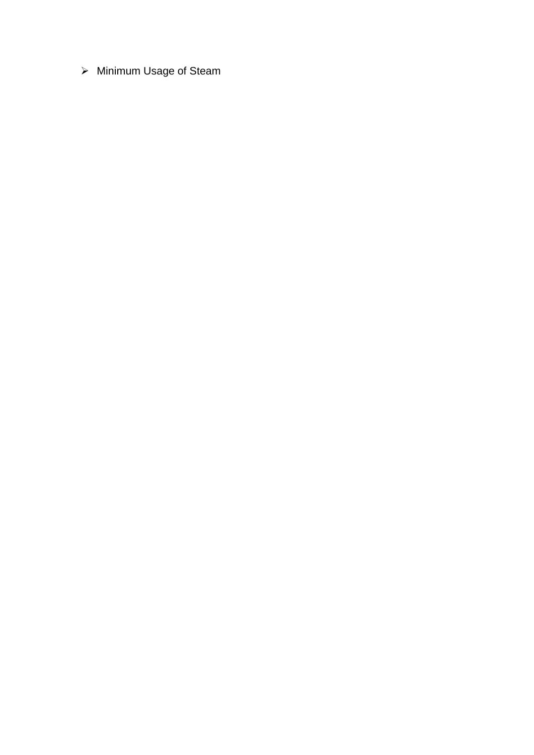> Minimum Usage of Steam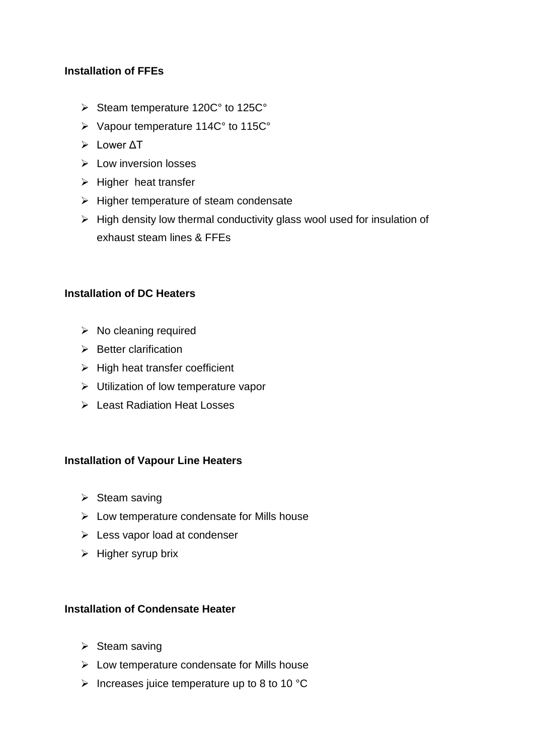#### **Installation of FFEs**

- $\triangleright$  Steam temperature 120C° to 125C°
- Vapour temperature 114C° to 115C°
- Lower ΔT
- $\triangleright$  Low inversion losses
- $\triangleright$  Higher heat transfer
- $\triangleright$  Higher temperature of steam condensate
- $\triangleright$  High density low thermal conductivity glass wool used for insulation of exhaust steam lines & FFEs

#### **Installation of DC Heaters**

- $\triangleright$  No cleaning required
- $\triangleright$  Better clarification
- $\triangleright$  High heat transfer coefficient
- $\triangleright$  Utilization of low temperature vapor
- Least Radiation Heat Losses

#### **Installation of Vapour Line Heaters**

- $\triangleright$  Steam saving
- $\triangleright$  Low temperature condensate for Mills house
- Eess vapor load at condenser
- $\triangleright$  Higher syrup brix

#### **Installation of Condensate Heater**

- $\triangleright$  Steam saving
- $\triangleright$  Low temperature condensate for Mills house
- $\triangleright$  Increases juice temperature up to 8 to 10 °C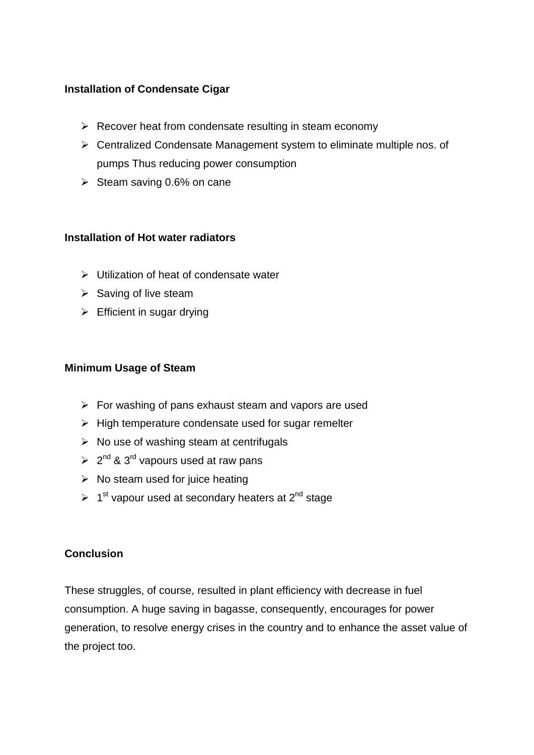### **Installation of Condensate Cigar**

- $\triangleright$  Recover heat from condensate resulting in steam economy
- $\triangleright$  Centralized Condensate Management system to eliminate multiple nos. of pumps Thus reducing power consumption
- $\triangleright$  Steam saving 0.6% on cane

#### **Installation of Hot water radiators**

- $\triangleright$  Utilization of heat of condensate water
- $\triangleright$  Saving of live steam
- $\triangleright$  Efficient in sugar drying

#### **Minimum Usage of Steam**

- $\triangleright$  For washing of pans exhaust steam and vapors are used
- $\triangleright$  High temperature condensate used for sugar remelter
- $\triangleright$  No use of washing steam at centrifugals
- $\geq 2^{nd}$  & 3<sup>rd</sup> vapours used at raw pans
- $\triangleright$  No steam used for juice heating
- $\geq 1^{st}$  vapour used at secondary heaters at 2<sup>nd</sup> stage

## **Conclusion**

These struggles, of course, resulted in plant efficiency with decrease in fuel consumption. A huge saving in bagasse, consequently, encourages for power generation, to resolve energy crises in the country and to enhance the asset value of the project too.